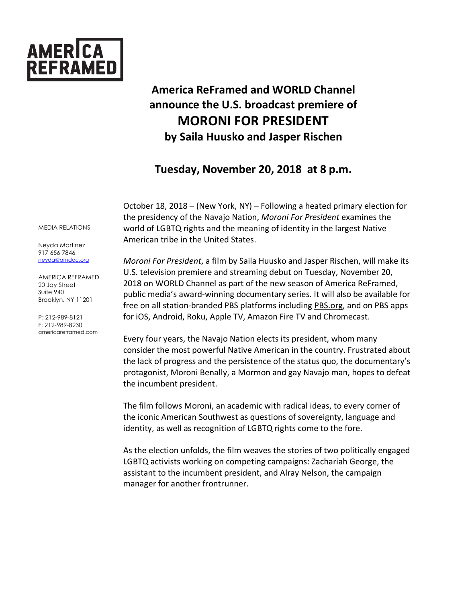

# **America ReFramed and WORLD Channel announce the U.S. broadcast premiere of MORONI FOR PRESIDENT by Saila Huusko and Jasper Rischen**

## **Tuesday, November 20, 2018 at 8 p.m.**

October 18, 2018 – (New York, NY) – Following a heated primary election for the presidency of the Navajo Nation, *Moroni For President* examines the world of LGBTQ rights and the meaning of identity in the largest Native American tribe in the United States.

*Moroni For President*, a film by Saila Huusko and Jasper Rischen, will make its U.S. television premiere and streaming debut on Tuesday, November 20, 2018 on WORLD Channel as part of the new season of America ReFramed, public media's award-winning documentary series. It will also be available for free on all station-branded PBS platforms including PBS.org, and on PBS apps for iOS, Android, Roku, Apple TV, Amazon Fire TV and Chromecast.

Every four years, the Navajo Nation elects its president, whom many consider the most powerful Native American in the country. Frustrated about the lack of progress and the persistence of the status quo, the documentary's protagonist, Moroni Benally, a Mormon and gay Navajo man, hopes to defeat the incumbent president.

The film follows Moroni, an academic with radical ideas, to every corner of the iconic American Southwest as questions of sovereignty, language and identity, as well as recognition of LGBTQ rights come to the fore.

As the election unfolds, the film weaves the stories of two politically engaged LGBTQ activists working on competing campaigns: Zachariah George, the assistant to the incumbent president, and Alray Nelson, the campaign manager for another frontrunner.

#### MEDIA RELATIONS

Neyda Martinez 917 656 7846 neyda@amdoc.org

AMERICA REFRAMED 20 Jay Street Suite 940 Brooklyn, NY 11201

P: 212-989-8121 F: 212-989-8230 americareframed.com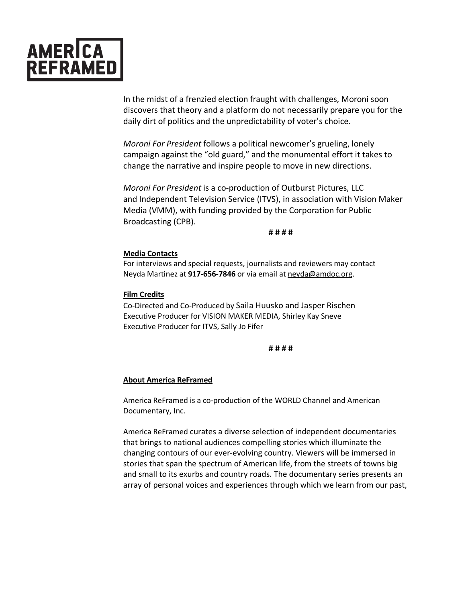

In the midst of a frenzied election fraught with challenges, Moroni soon discovers that theory and a platform do not necessarily prepare you for the daily dirt of politics and the unpredictability of voter's choice.

*Moroni For President* follows a political newcomer's grueling, lonely campaign against the "old guard," and the monumental effort it takes to change the narrative and inspire people to move in new directions.

*Moroni For President* is a co-production of Outburst Pictures, LLC and Independent Television Service (ITVS), in association with Vision Maker Media (VMM), with funding provided by the Corporation for Public Broadcasting (CPB).

**# # # #** 

#### **Media Contacts**

For interviews and special requests, journalists and reviewers may contact Neyda Martinez at **917-656-7846** or via email at neyda@amdoc.org.

### **Film Credits**

Co-Directed and Co-Produced by Saila Huusko and Jasper Rischen Executive Producer for VISION MAKER MEDIA, Shirley Kay Sneve Executive Producer for ITVS, Sally Jo Fifer

#### **# # # #**

#### **About America ReFramed**

America ReFramed is a co-production of the WORLD Channel and American Documentary, Inc.

America ReFramed curates a diverse selection of independent documentaries that brings to national audiences compelling stories which illuminate the changing contours of our ever-evolving country. Viewers will be immersed in stories that span the spectrum of American life, from the streets of towns big and small to its exurbs and country roads. The documentary series presents an array of personal voices and experiences through which we learn from our past,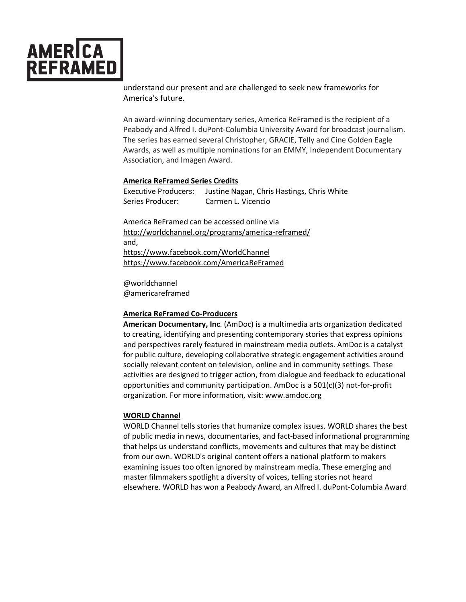

understand our present and are challenged to seek new frameworks for America's future.

An award-winning documentary series, America ReFramed is the recipient of a Peabody and Alfred I. duPont-Columbia University Award for broadcast journalism. The series has earned several Christopher, GRACIE, Telly and Cine Golden Eagle Awards, as well as multiple nominations for an EMMY, Independent Documentary Association, and Imagen Award.

#### **America ReFramed Series Credits**

Executive Producers: Justine Nagan, Chris Hastings, Chris White Series Producer: Carmen L. Vicencio

America ReFramed can be accessed online via http://worldchannel.org/programs/america-reframed/ and, https://www.facebook.com/WorldChannel https://www.facebook.com/AmericaReFramed

@worldchannel @americareframed

#### **America ReFramed Co-Producers**

**American Documentary, Inc**. (AmDoc) is a multimedia arts organization dedicated to creating, identifying and presenting contemporary stories that express opinions and perspectives rarely featured in mainstream media outlets. AmDoc is a catalyst for public culture, developing collaborative strategic engagement activities around socially relevant content on television, online and in community settings. These activities are designed to trigger action, from dialogue and feedback to educational opportunities and community participation. AmDoc is a 501(c)(3) not-for-profit organization. For more information, visit: www.amdoc.org

#### **WORLD Channel**

WORLD Channel tells stories that humanize complex issues. WORLD shares the best of public media in news, documentaries, and fact-based informational programming that helps us understand conflicts, movements and cultures that may be distinct from our own. WORLD's original content offers a national platform to makers examining issues too often ignored by mainstream media. These emerging and master filmmakers spotlight a diversity of voices, telling stories not heard elsewhere. WORLD has won a Peabody Award, an Alfred I. duPont-Columbia Award